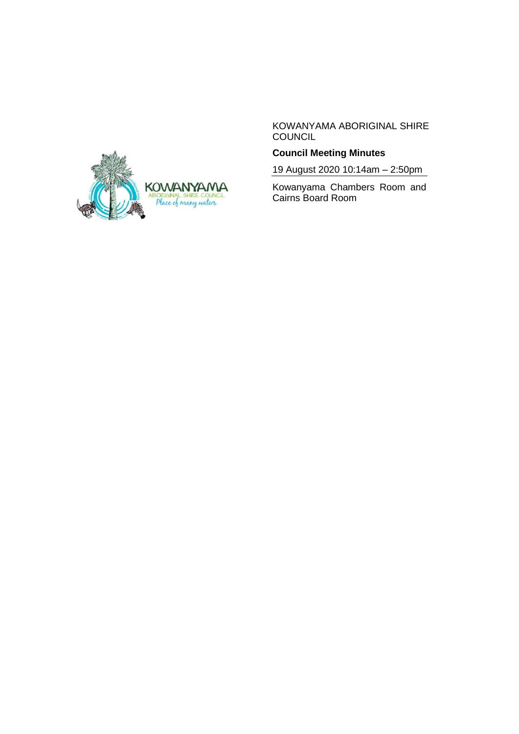

KOWANYAMA ABORIGINAL SHIRE COUNCIL

# **Council Meeting Minutes**

19 August 2020 10:14am – 2:50pm

Kowanyama Chambers Room and Cairns Board Room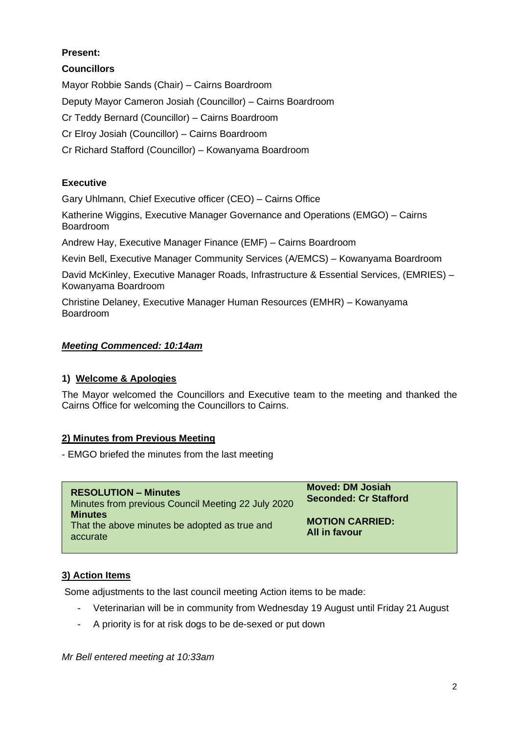# **Present:**

**Councillors**

Mayor Robbie Sands (Chair) – Cairns Boardroom Deputy Mayor Cameron Josiah (Councillor) – Cairns Boardroom Cr Teddy Bernard (Councillor) – Cairns Boardroom Cr Elroy Josiah (Councillor) – Cairns Boardroom Cr Richard Stafford (Councillor) – Kowanyama Boardroom

# **Executive**

Gary Uhlmann, Chief Executive officer (CEO) – Cairns Office

Katherine Wiggins, Executive Manager Governance and Operations (EMGO) – Cairns Boardroom

Andrew Hay, Executive Manager Finance (EMF) – Cairns Boardroom

Kevin Bell, Executive Manager Community Services (A/EMCS) – Kowanyama Boardroom

David McKinley, Executive Manager Roads, Infrastructure & Essential Services, (EMRIES) – Kowanyama Boardroom

Christine Delaney, Executive Manager Human Resources (EMHR) – Kowanyama Boardroom

### *Meeting Commenced: 10:14am*

# **1) Welcome & Apologies**

The Mayor welcomed the Councillors and Executive team to the meeting and thanked the Cairns Office for welcoming the Councillors to Cairns.

#### **2) Minutes from Previous Meeting**

- EMGO briefed the minutes from the last meeting

| <b>RESOLUTION – Minutes</b>                                                 | <b>Moved: DM Josiah</b>                 |
|-----------------------------------------------------------------------------|-----------------------------------------|
| Minutes from previous Council Meeting 22 July 2020                          | <b>Seconded: Cr Stafford</b>            |
| <b>Minutes</b><br>That the above minutes be adopted as true and<br>accurate | <b>MOTION CARRIED:</b><br>All in favour |

# **3) Action Items**

Some adjustments to the last council meeting Action items to be made:

- Veterinarian will be in community from Wednesday 19 August until Friday 21 August
- A priority is for at risk dogs to be de-sexed or put down

*Mr Bell entered meeting at 10:33am*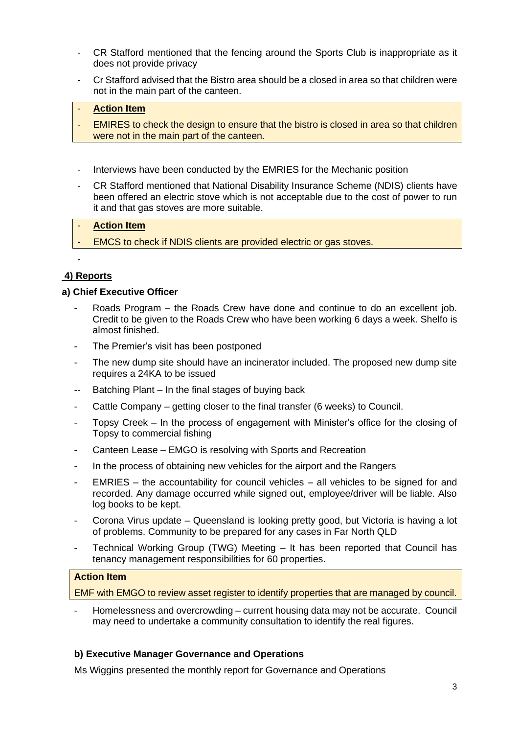- CR Stafford mentioned that the fencing around the Sports Club is inappropriate as it does not provide privacy
- Cr Stafford advised that the Bistro area should be a closed in area so that children were not in the main part of the canteen.

#### **Action Item**

- EMIRES to check the design to ensure that the bistro is closed in area so that children were not in the main part of the canteen.
- Interviews have been conducted by the EMRIES for the Mechanic position
- CR Stafford mentioned that National Disability Insurance Scheme (NDIS) clients have been offered an electric stove which is not acceptable due to the cost of power to run it and that gas stoves are more suitable.

# **Action Item**

EMCS to check if NDIS clients are provided electric or gas stoves.

# **4) Reports**

-

### **a) Chief Executive Officer**

- Roads Program the Roads Crew have done and continue to do an excellent job. Credit to be given to the Roads Crew who have been working 6 days a week. Shelfo is almost finished.
- The Premier's visit has been postponed
- The new dump site should have an incinerator included. The proposed new dump site requires a 24KA to be issued
- Batching Plant In the final stages of buying back
- Cattle Company getting closer to the final transfer (6 weeks) to Council.
- Topsy Creek In the process of engagement with Minister's office for the closing of Topsy to commercial fishing
- Canteen Lease EMGO is resolving with Sports and Recreation
- In the process of obtaining new vehicles for the airport and the Rangers
- $EMRIES the accountability for council vehicles all vehicles to be signed for and$ recorded. Any damage occurred while signed out, employee/driver will be liable. Also log books to be kept.
- Corona Virus update Queensland is looking pretty good, but Victoria is having a lot of problems. Community to be prepared for any cases in Far North QLD
- Technical Working Group (TWG) Meeting It has been reported that Council has tenancy management responsibilities for 60 properties.

### **Action Item**

EMF with EMGO to review asset register to identify properties that are managed by council.

Homelessness and overcrowding – current housing data may not be accurate. Council may need to undertake a community consultation to identify the real figures.

# **b) Executive Manager Governance and Operations**

Ms Wiggins presented the monthly report for Governance and Operations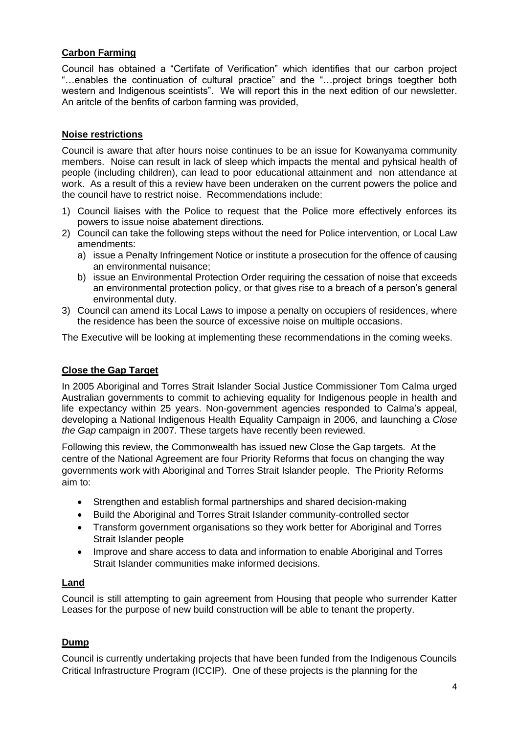# **Carbon Farming**

Council has obtained a "Certifate of Verification" which identifies that our carbon project "…enables the continuation of cultural practice" and the "…project brings toegther both western and Indigenous sceintists". We will report this in the next edition of our newsletter. An aritcle of the benfits of carbon farming was provided,

### **Noise restrictions**

Council is aware that after hours noise continues to be an issue for Kowanyama community members. Noise can result in lack of sleep which impacts the mental and pyhsical health of people (including children), can lead to poor educational attainment and non attendance at work. As a result of this a review have been underaken on the current powers the police and the council have to restrict noise. Recommendations include:

- 1) Council liaises with the Police to request that the Police more effectively enforces its powers to issue noise abatement directions.
- 2) Council can take the following steps without the need for Police intervention, or Local Law amendments:
	- a) issue a Penalty Infringement Notice or institute a prosecution for the offence of causing an environmental nuisance;
	- b) issue an Environmental Protection Order requiring the cessation of noise that exceeds an environmental protection policy, or that gives rise to a breach of a person's general environmental duty.
- 3) Council can amend its Local Laws to impose a penalty on occupiers of residences, where the residence has been the source of excessive noise on multiple occasions.

The Executive will be looking at implementing these recommendations in the coming weeks.

# **Close the Gap Target**

In 2005 Aboriginal and Torres Strait Islander Social Justice Commissioner Tom Calma urged Australian governments to commit to achieving equality for Indigenous people in health and life expectancy within 25 years. Non-government agencies responded to Calma's appeal, developing a National Indigenous Health Equality Campaign in 2006, and launching a *Close the Gap* campaign in 2007. These targets have recently been reviewed.

Following this review, the Commonwealth has issued new Close the Gap targets. At the centre of the National Agreement are four Priority Reforms that focus on changing the way governments work with Aboriginal and Torres Strait Islander people. The Priority Reforms aim to:

- Strengthen and establish formal partnerships and shared decision-making
- Build the Aboriginal and Torres Strait Islander community-controlled sector
- Transform government organisations so they work better for Aboriginal and Torres Strait Islander people
- Improve and share access to data and information to enable Aboriginal and Torres Strait Islander communities make informed decisions.

#### **Land**

Council is still attempting to gain agreement from Housing that people who surrender Katter Leases for the purpose of new build construction will be able to tenant the property.

# **Dump**

Council is currently undertaking projects that have been funded from the Indigenous Councils Critical Infrastructure Program (ICCIP). One of these projects is the planning for the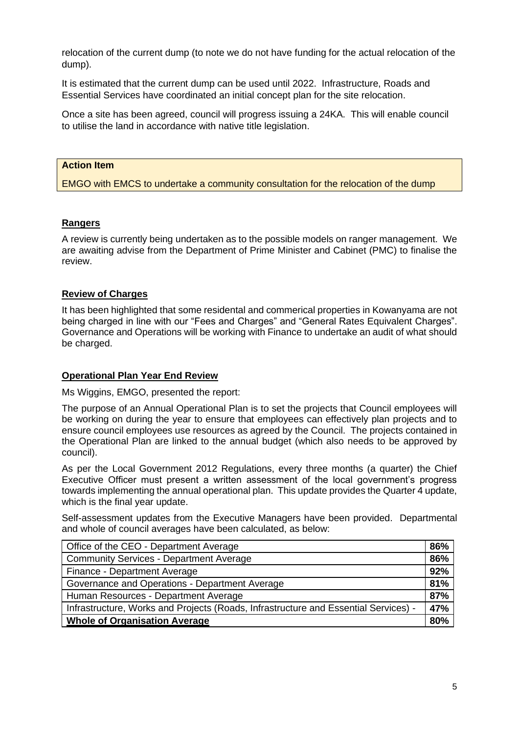relocation of the current dump (to note we do not have funding for the actual relocation of the dump).

It is estimated that the current dump can be used until 2022. Infrastructure, Roads and Essential Services have coordinated an initial concept plan for the site relocation.

Once a site has been agreed, council will progress issuing a 24KA. This will enable council to utilise the land in accordance with native title legislation.

#### **Action Item**

EMGO with EMCS to undertake a community consultation for the relocation of the dump

### **Rangers**

A review is currently being undertaken as to the possible models on ranger management. We are awaiting advise from the Department of Prime Minister and Cabinet (PMC) to finalise the review.

### **Review of Charges**

It has been highlighted that some residental and commerical properties in Kowanyama are not being charged in line with our "Fees and Charges" and "General Rates Equivalent Charges". Governance and Operations will be working with Finance to undertake an audit of what should be charged.

#### **Operational Plan Year End Review**

Ms Wiggins, EMGO, presented the report:

The purpose of an Annual Operational Plan is to set the projects that Council employees will be working on during the year to ensure that employees can effectively plan projects and to ensure council employees use resources as agreed by the Council. The projects contained in the Operational Plan are linked to the annual budget (which also needs to be approved by council).

As per the Local Government 2012 Regulations, every three months (a quarter) the Chief Executive Officer must present a written assessment of the local government's progress towards implementing the annual operational plan. This update provides the Quarter 4 update, which is the final year update.

Self-assessment updates from the Executive Managers have been provided. Departmental and whole of council averages have been calculated, as below:

| Office of the CEO - Department Average                                              | 86% |
|-------------------------------------------------------------------------------------|-----|
| <b>Community Services - Department Average</b>                                      | 86% |
| Finance - Department Average                                                        | 92% |
| Governance and Operations - Department Average                                      | 81% |
| Human Resources - Department Average                                                | 87% |
| Infrastructure, Works and Projects (Roads, Infrastructure and Essential Services) - | 47% |
| <b>Whole of Organisation Average</b>                                                | 80% |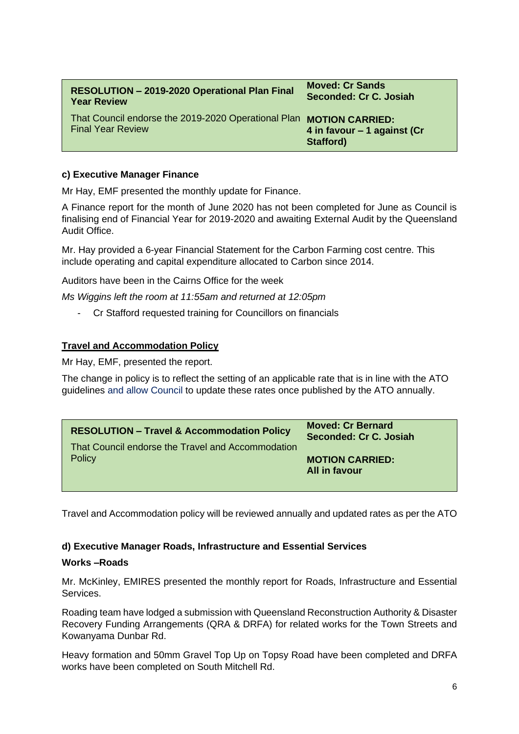| <b>RESOLUTION - 2019-2020 Operational Plan Final</b>                | <b>Moved: Cr Sands</b>      |
|---------------------------------------------------------------------|-----------------------------|
| <b>Year Review</b>                                                  | Seconded: Cr C. Josiah      |
| That Council endorse the 2019-2020 Operational Plan MOTION CARRIED: | 4 in favour – 1 against (Cr |
| <b>Final Year Review</b>                                            | Stafford)                   |

### **c) Executive Manager Finance**

Mr Hay, EMF presented the monthly update for Finance.

A Finance report for the month of June 2020 has not been completed for June as Council is finalising end of Financial Year for 2019-2020 and awaiting External Audit by the Queensland Audit Office.

Mr. Hay provided a 6-year Financial Statement for the Carbon Farming cost centre. This include operating and capital expenditure allocated to Carbon since 2014.

Auditors have been in the Cairns Office for the week

*Ms Wiggins left the room at 11:55am and returned at 12:05pm*

- Cr Stafford requested training for Councillors on financials

### **Travel and Accommodation Policy**

Mr Hay, EMF, presented the report.

The change in policy is to reflect the setting of an applicable rate that is in line with the ATO guidelines and allow Council to update these rates once published by the ATO annually.

| <b>RESOLUTION - Travel &amp; Accommodation Policy</b> | <b>Moved: Cr Bernard</b>                |
|-------------------------------------------------------|-----------------------------------------|
| That Council endorse the Travel and Accommodation     | Seconded: Cr C. Josiah                  |
| Policy                                                | <b>MOTION CARRIED:</b><br>All in favour |

Travel and Accommodation policy will be reviewed annually and updated rates as per the ATO

#### **d) Executive Manager Roads, Infrastructure and Essential Services**

#### **Works –Roads**

Mr. McKinley, EMIRES presented the monthly report for Roads, Infrastructure and Essential Services.

Roading team have lodged a submission with Queensland Reconstruction Authority & Disaster Recovery Funding Arrangements (QRA & DRFA) for related works for the Town Streets and Kowanyama Dunbar Rd.

Heavy formation and 50mm Gravel Top Up on Topsy Road have been completed and DRFA works have been completed on South Mitchell Rd.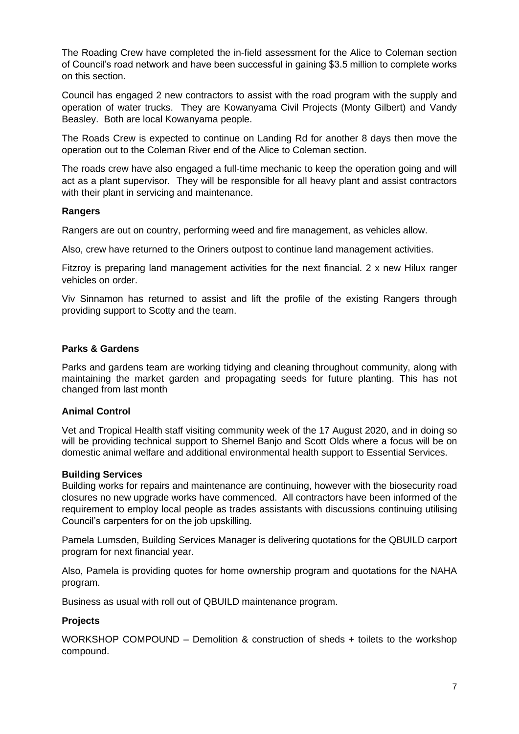The Roading Crew have completed the in-field assessment for the Alice to Coleman section of Council's road network and have been successful in gaining \$3.5 million to complete works on this section.

Council has engaged 2 new contractors to assist with the road program with the supply and operation of water trucks. They are Kowanyama Civil Projects (Monty Gilbert) and Vandy Beasley. Both are local Kowanyama people.

The Roads Crew is expected to continue on Landing Rd for another 8 days then move the operation out to the Coleman River end of the Alice to Coleman section.

The roads crew have also engaged a full-time mechanic to keep the operation going and will act as a plant supervisor. They will be responsible for all heavy plant and assist contractors with their plant in servicing and maintenance.

#### **Rangers**

Rangers are out on country, performing weed and fire management, as vehicles allow.

Also, crew have returned to the Oriners outpost to continue land management activities.

Fitzroy is preparing land management activities for the next financial. 2 x new Hilux ranger vehicles on order.

Viv Sinnamon has returned to assist and lift the profile of the existing Rangers through providing support to Scotty and the team.

#### **Parks & Gardens**

Parks and gardens team are working tidying and cleaning throughout community, along with maintaining the market garden and propagating seeds for future planting. This has not changed from last month

#### **Animal Control**

Vet and Tropical Health staff visiting community week of the 17 August 2020, and in doing so will be providing technical support to Shernel Banjo and Scott Olds where a focus will be on domestic animal welfare and additional environmental health support to Essential Services.

#### **Building Services**

Building works for repairs and maintenance are continuing, however with the biosecurity road closures no new upgrade works have commenced. All contractors have been informed of the requirement to employ local people as trades assistants with discussions continuing utilising Council's carpenters for on the job upskilling.

Pamela Lumsden, Building Services Manager is delivering quotations for the QBUILD carport program for next financial year.

Also, Pamela is providing quotes for home ownership program and quotations for the NAHA program.

Business as usual with roll out of QBUILD maintenance program.

#### **Projects**

WORKSHOP COMPOUND – Demolition & construction of sheds + toilets to the workshop compound.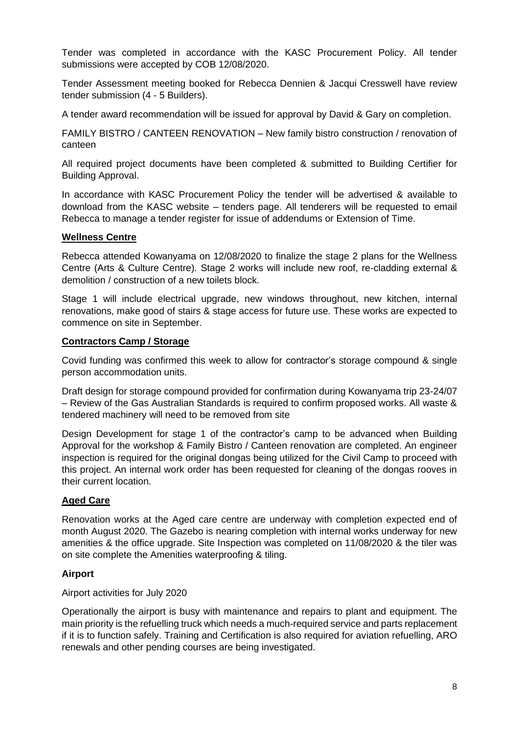Tender was completed in accordance with the KASC Procurement Policy. All tender submissions were accepted by COB 12/08/2020.

Tender Assessment meeting booked for Rebecca Dennien & Jacqui Cresswell have review tender submission (4 - 5 Builders).

A tender award recommendation will be issued for approval by David & Gary on completion.

FAMILY BISTRO / CANTEEN RENOVATION – New family bistro construction / renovation of canteen

All required project documents have been completed & submitted to Building Certifier for Building Approval.

In accordance with KASC Procurement Policy the tender will be advertised & available to download from the KASC website – tenders page. All tenderers will be requested to email Rebecca to manage a tender register for issue of addendums or Extension of Time.

### **Wellness Centre**

Rebecca attended Kowanyama on 12/08/2020 to finalize the stage 2 plans for the Wellness Centre (Arts & Culture Centre). Stage 2 works will include new roof, re-cladding external & demolition / construction of a new toilets block.

Stage 1 will include electrical upgrade, new windows throughout, new kitchen, internal renovations, make good of stairs & stage access for future use. These works are expected to commence on site in September.

#### **Contractors Camp / Storage**

Covid funding was confirmed this week to allow for contractor's storage compound & single person accommodation units.

Draft design for storage compound provided for confirmation during Kowanyama trip 23-24/07 – Review of the Gas Australian Standards is required to confirm proposed works. All waste & tendered machinery will need to be removed from site

Design Development for stage 1 of the contractor's camp to be advanced when Building Approval for the workshop & Family Bistro / Canteen renovation are completed. An engineer inspection is required for the original dongas being utilized for the Civil Camp to proceed with this project. An internal work order has been requested for cleaning of the dongas rooves in their current location.

# **Aged Care**

Renovation works at the Aged care centre are underway with completion expected end of month August 2020. The Gazebo is nearing completion with internal works underway for new amenities & the office upgrade. Site Inspection was completed on 11/08/2020 & the tiler was on site complete the Amenities waterproofing & tiling.

# **Airport**

Airport activities for July 2020

Operationally the airport is busy with maintenance and repairs to plant and equipment. The main priority is the refuelling truck which needs a much-required service and parts replacement if it is to function safely. Training and Certification is also required for aviation refuelling, ARO renewals and other pending courses are being investigated.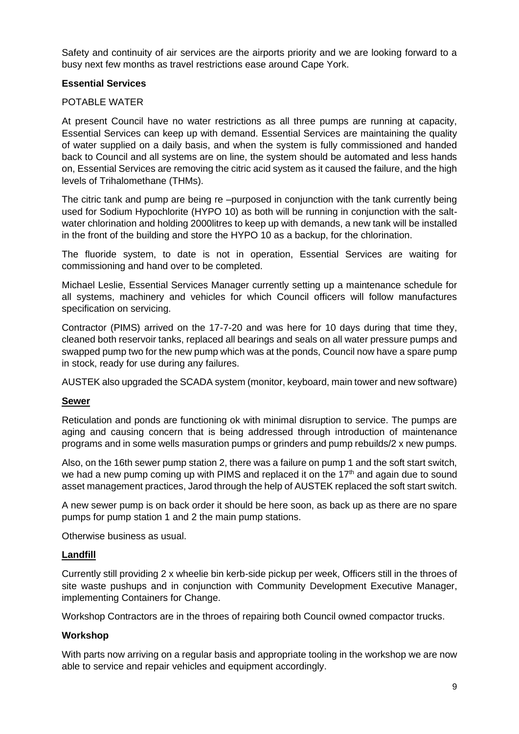Safety and continuity of air services are the airports priority and we are looking forward to a busy next few months as travel restrictions ease around Cape York.

# **Essential Services**

### POTABLE WATER

At present Council have no water restrictions as all three pumps are running at capacity, Essential Services can keep up with demand. Essential Services are maintaining the quality of water supplied on a daily basis, and when the system is fully commissioned and handed back to Council and all systems are on line, the system should be automated and less hands on, Essential Services are removing the citric acid system as it caused the failure, and the high levels of Trihalomethane (THMs).

The citric tank and pump are being re –purposed in conjunction with the tank currently being used for Sodium Hypochlorite (HYPO 10) as both will be running in conjunction with the saltwater chlorination and holding 2000litres to keep up with demands, a new tank will be installed in the front of the building and store the HYPO 10 as a backup, for the chlorination.

The fluoride system, to date is not in operation, Essential Services are waiting for commissioning and hand over to be completed.

Michael Leslie, Essential Services Manager currently setting up a maintenance schedule for all systems, machinery and vehicles for which Council officers will follow manufactures specification on servicing.

Contractor (PIMS) arrived on the 17-7-20 and was here for 10 days during that time they, cleaned both reservoir tanks, replaced all bearings and seals on all water pressure pumps and swapped pump two for the new pump which was at the ponds, Council now have a spare pump in stock, ready for use during any failures.

AUSTEK also upgraded the SCADA system (monitor, keyboard, main tower and new software)

#### **Sewer**

Reticulation and ponds are functioning ok with minimal disruption to service. The pumps are aging and causing concern that is being addressed through introduction of maintenance programs and in some wells masuration pumps or grinders and pump rebuilds/2 x new pumps.

Also, on the 16th sewer pump station 2, there was a failure on pump 1 and the soft start switch, we had a new pump coming up with PIMS and replaced it on the  $17<sup>th</sup>$  and again due to sound asset management practices, Jarod through the help of AUSTEK replaced the soft start switch.

A new sewer pump is on back order it should be here soon, as back up as there are no spare pumps for pump station 1 and 2 the main pump stations.

Otherwise business as usual.

#### **Landfill**

Currently still providing 2 x wheelie bin kerb-side pickup per week, Officers still in the throes of site waste pushups and in conjunction with Community Development Executive Manager, implementing Containers for Change.

Workshop Contractors are in the throes of repairing both Council owned compactor trucks.

#### **Workshop**

With parts now arriving on a regular basis and appropriate tooling in the workshop we are now able to service and repair vehicles and equipment accordingly.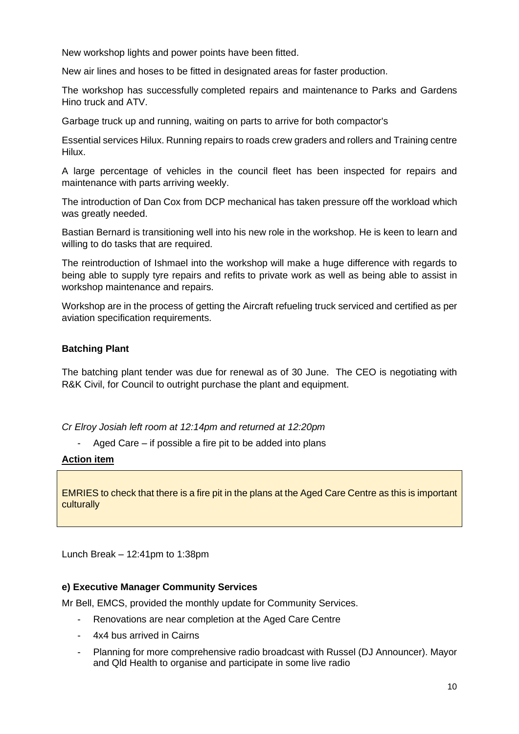New workshop lights and power points have been fitted.

New air lines and hoses to be fitted in designated areas for faster production.

The workshop has successfully completed repairs and maintenance to Parks and Gardens Hino truck and ATV.

Garbage truck up and running, waiting on parts to arrive for both compactor's

Essential services Hilux. Running repairs to roads crew graders and rollers and Training centre Hilux.

A large percentage of vehicles in the council fleet has been inspected for repairs and maintenance with parts arriving weekly.

The introduction of Dan Cox from DCP mechanical has taken pressure off the workload which was greatly needed.

Bastian Bernard is transitioning well into his new role in the workshop. He is keen to learn and willing to do tasks that are required.

The reintroduction of Ishmael into the workshop will make a huge difference with regards to being able to supply tyre repairs and refits to private work as well as being able to assist in workshop maintenance and repairs.

Workshop are in the process of getting the Aircraft refueling truck serviced and certified as per aviation specification requirements.

### **Batching Plant**

The batching plant tender was due for renewal as of 30 June. The CEO is negotiating with R&K Civil, for Council to outright purchase the plant and equipment.

*Cr Elroy Josiah left room at 12:14pm and returned at 12:20pm*

- Aged Care – if possible a fire pit to be added into plans

#### **Action item**

EMRIES to check that there is a fire pit in the plans at the Aged Care Centre as this is important **culturally** 

Lunch Break – 12:41pm to 1:38pm

#### **e) Executive Manager Community Services**

Mr Bell, EMCS, provided the monthly update for Community Services.

- Renovations are near completion at the Aged Care Centre
- 4x4 bus arrived in Cairns
- Planning for more comprehensive radio broadcast with Russel (DJ Announcer). Mayor and Qld Health to organise and participate in some live radio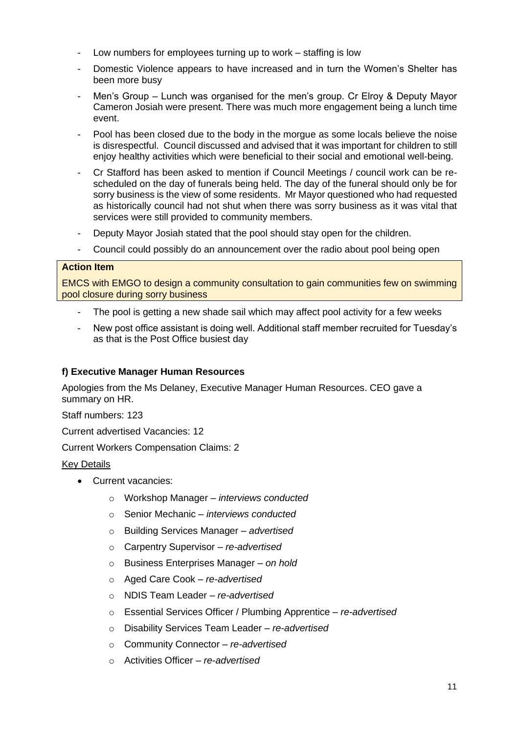- Low numbers for employees turning up to work staffing is low
- Domestic Violence appears to have increased and in turn the Women's Shelter has been more busy
- Men's Group Lunch was organised for the men's group. Cr Elroy & Deputy Mayor Cameron Josiah were present. There was much more engagement being a lunch time event.
- Pool has been closed due to the body in the morgue as some locals believe the noise is disrespectful. Council discussed and advised that it was important for children to still enjoy healthy activities which were beneficial to their social and emotional well-being.
- Cr Stafford has been asked to mention if Council Meetings / council work can be rescheduled on the day of funerals being held. The day of the funeral should only be for sorry business is the view of some residents. Mr Mayor questioned who had requested as historically council had not shut when there was sorry business as it was vital that services were still provided to community members.
- Deputy Mayor Josiah stated that the pool should stay open for the children.
- Council could possibly do an announcement over the radio about pool being open

# **Action Item**

EMCS with EMGO to design a community consultation to gain communities few on swimming pool closure during sorry business

- The pool is getting a new shade sail which may affect pool activity for a few weeks
- New post office assistant is doing well. Additional staff member recruited for Tuesday's as that is the Post Office busiest day

# **f) Executive Manager Human Resources**

Apologies from the Ms Delaney, Executive Manager Human Resources. CEO gave a summary on HR.

Staff numbers: 123

Current advertised Vacancies: 12

Current Workers Compensation Claims: 2

# Key Details

- Current vacancies:
	- o Workshop Manager *interviews conducted*
	- o Senior Mechanic *– interviews conducted*
	- o Building Services Manager *– advertised*
	- o Carpentry Supervisor *– re-advertised*
	- o Business Enterprises Manager *– on hold*
	- o Aged Care Cook *– re-advertised*
	- o NDIS Team Leader *– re-advertised*
	- o Essential Services Officer / Plumbing Apprentice *re-advertised*
	- o Disability Services Team Leader *re*-*advertised*
	- o Community Connector *re-advertised*
	- o Activities Officer *re*-*advertised*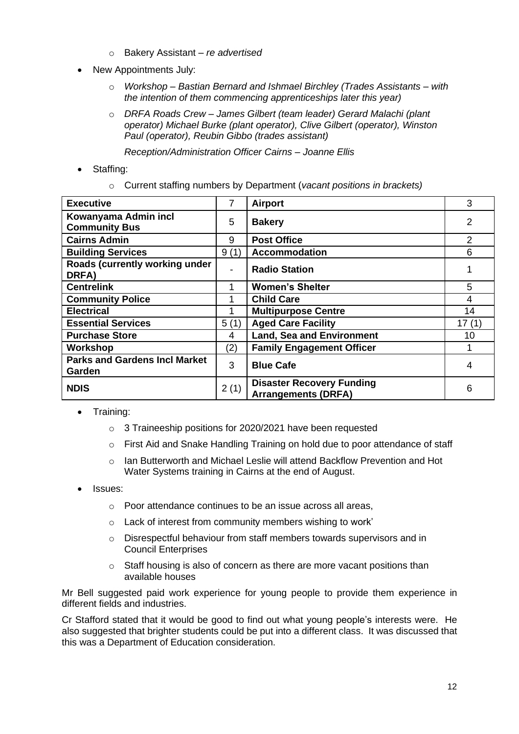- o Bakery Assistant *re advertised*
- New Appointments July:
	- o *Workshop – Bastian Bernard and Ishmael Birchley (Trades Assistants – with the intention of them commencing apprenticeships later this year)*
	- o *DRFA Roads Crew – James Gilbert (team leader) Gerard Malachi (plant operator) Michael Burke (plant operator), Clive Gilbert (operator), Winston Paul (operator), Reubin Gibbo (trades assistant)*

*Reception/Administration Officer Cairns – Joanne Ellis*

- Staffing:
	- o Current staffing numbers by Department (*vacant positions in brackets)*

| <b>Executive</b>                               | $\overline{7}$ | <b>Airport</b>                                                 | 3              |
|------------------------------------------------|----------------|----------------------------------------------------------------|----------------|
| Kowanyama Admin incl<br><b>Community Bus</b>   | 5              | <b>Bakery</b>                                                  | 2              |
| <b>Cairns Admin</b>                            | 9              | <b>Post Office</b>                                             | $\overline{2}$ |
| <b>Building Services</b>                       | 9(1)           | <b>Accommodation</b>                                           | 6              |
| Roads (currently working under<br>DRFA)        | ۰              | <b>Radio Station</b>                                           |                |
| <b>Centrelink</b>                              |                | <b>Women's Shelter</b>                                         | 5              |
| <b>Community Police</b>                        |                | <b>Child Care</b>                                              | 4              |
| <b>Electrical</b>                              |                | <b>Multipurpose Centre</b>                                     | 14             |
| <b>Essential Services</b>                      | 5(1)           | <b>Aged Care Facility</b>                                      | 17(1)          |
| <b>Purchase Store</b>                          | 4              | <b>Land, Sea and Environment</b>                               | 10             |
| Workshop                                       | (2)            | <b>Family Engagement Officer</b>                               |                |
| <b>Parks and Gardens Incl Market</b><br>Garden | 3              | <b>Blue Cafe</b>                                               | 4              |
| <b>NDIS</b>                                    | 2(1)           | <b>Disaster Recovery Funding</b><br><b>Arrangements (DRFA)</b> | 6              |

- Training:
	- o 3 Traineeship positions for 2020/2021 have been requested
	- o First Aid and Snake Handling Training on hold due to poor attendance of staff
	- $\circ$  Ian Butterworth and Michael Leslie will attend Backflow Prevention and Hot Water Systems training in Cairns at the end of August.
- Issues:
	- o Poor attendance continues to be an issue across all areas,
	- o Lack of interest from community members wishing to work'
	- o Disrespectful behaviour from staff members towards supervisors and in Council Enterprises
	- $\circ$  Staff housing is also of concern as there are more vacant positions than available houses

Mr Bell suggested paid work experience for young people to provide them experience in different fields and industries.

Cr Stafford stated that it would be good to find out what young people's interests were. He also suggested that brighter students could be put into a different class. It was discussed that this was a Department of Education consideration.